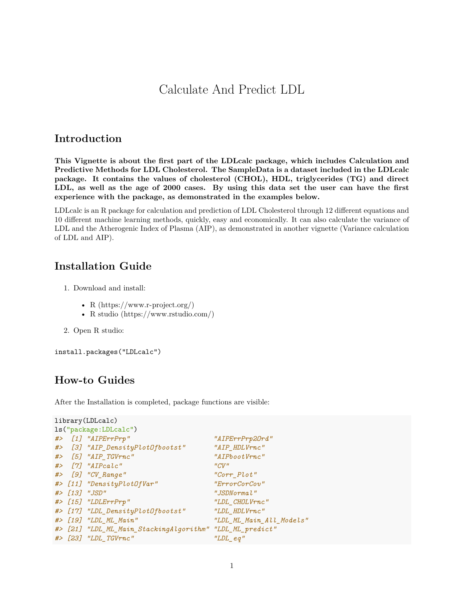# Calculate And Predict LDL

### **Introduction**

**This Vignette is about the first part of the LDLcalc package, which includes Calculation and Predictive Methods for LDL Cholesterol. The SampleData is a dataset included in the LDLcalc package. It contains the values of cholesterol (CHOL), HDL, triglycerides (TG) and direct LDL, as well as the age of 2000 cases. By using this data set the user can have the first experience with the package, as demonstrated in the examples below.**

[LDLcalc](https://cran.r-project.org/package=LDLcalc) is an R package for calculation and prediction of LDL Cholesterol through 12 different equations and 10 different machine learning methods, quickly, easy and economically. It can also calculate the variance of LDL and the Atherogenic Index of Plasma (AIP), as demonstrated in another vignette (Variance calculation of LDL and AIP).

## **Installation Guide**

- 1. Download and install:
	- R [\(https://www.r-project.org/\)](https://www.r-project.org/)
	- R studio [\(https://www.rstudio.com/](https://www.rstudio.com/))
- 2. Open R studio:

install.packages("LDLcalc")

## **How-to Guides**

After the Installation is completed, package functions are visible:

```
library(LDLcalc)
ls("package:LDLcalc")
#> [1] "AIPErrPrp" "AIPErrPrp2Ord"
#> [3] "AIP_DensityPlotOfbootst" "AIP_HDLVrnc"
#> [5] "AIP_TGVrnc" "AIPbootVrnc"
#> [7] "AIPcalc" "CV"
#> [9] "CV_Range" "Corr_Plot"
#> [11] "DensityPlotOfVar" "ErrorCorCov"
#> [13] "JSD" "JSDNormal"
#> [15] "LDLErrPrp" "LDL_CHOLVrnc"
#> [17] "LDL_DensityPlotOfbootst" "LDL_HDLVrnc"
#> [19] "LDL_ML_Main" "LDL_ML_Main_All_Models"
#> [21] "LDL_ML_Main_StackingAlgorithm" "LDL_ML_predict"
#> [23] "LDL_TGVrnc" "LDL_eq"
```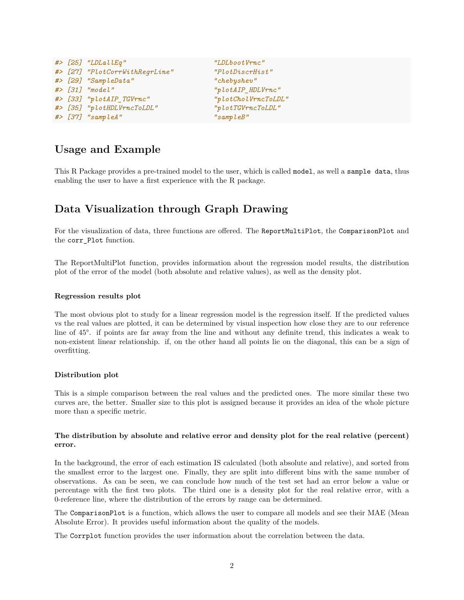|  | $\#$ > [25] "LDLallEq"         |
|--|--------------------------------|
|  | #> [27] "PlotCorrWithRegrLine" |
|  | #> [29] "SampleData"           |
|  | #> [31] "model"                |
|  | #> [33] "plotAIP_TGVrnc"       |
|  | #> [35] "plotHDLVrncToLDL"     |
|  | #> [37] "sampleA"              |

*#> [25] "LDLallEq" "LDLbootVrnc" #> [27] "PlotCorrWithRegrLine" "PlotDiscrHist" #> [29] "SampleData" "chebyshev" #> [31] "model" "plotAIP\_HDLVrnc" #> [33] "plotAIP\_TGVrnc" "plotCholVrncToLDL" #> [35] "plotHDLVrncToLDL" "plotTGVrncToLDL" #> [37] "sampleA" "sampleB"*

## **Usage and Example**

This R Package provides a pre-trained model to the user, which is called model, as well a sample data, thus enabling the user to have a first experience with the R package.

# **Data Visualization through Graph Drawing**

For the visualization of data, three functions are offered. The ReportMultiPlot, the ComparisonPlot and the corr\_Plot function.

The ReportMultiPlot function, provides information about the regression model results, the distribution plot of the error of the model (both absolute and relative values), as well as the density plot.

### **Regression results plot**

The most obvious plot to study for a linear regression model is the regression itself. If the predicted values vs the real values are plotted, it can be determined by visual inspection how close they are to our reference line of 45°. if points are far away from the line and without any definite trend, this indicates a weak to non-existent linear relationship. if, on the other hand all points lie on the diagonal, this can be a sign of overfitting.

### **Distribution plot**

This is a simple comparison between the real values and the predicted ones. The more similar these two curves are, the better. Smaller size to this plot is assigned because it provides an idea of the whole picture more than a specific metric.

### **The distribution by absolute and relative error and density plot for the real relative (percent) error.**

In the background, the error of each estimation IS calculated (both absolute and relative), and sorted from the smallest error to the largest one. Finally, they are split into different bins with the same number of observations. As can be seen, we can conclude how much of the test set had an error below a value or percentage with the first two plots. The third one is a density plot for the real relative error, with a 0-reference line, where the distribution of the errors by range can be determined.

The ComparisonPlot is a function, which allows the user to compare all models and see their MAE (Mean Absolute Error). It provides useful information about the quality of the models.

The Corrplot function provides the user information about the correlation between the data.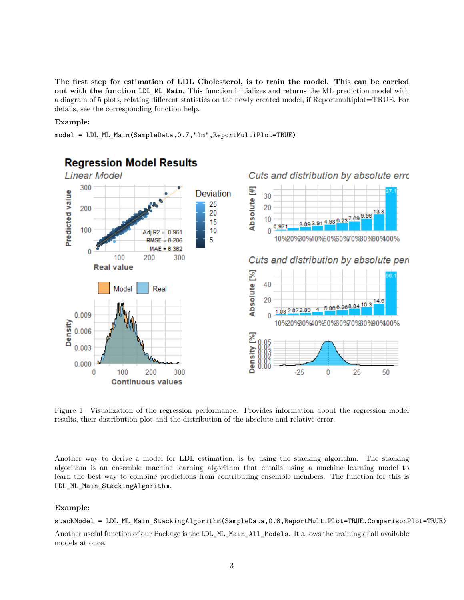**The first step for estimation of LDL Cholesterol, is to train the model. This can be carried out with the function LDL\_ML\_Main**. This function initializes and returns the ML prediction model with a diagram of 5 plots, relating different statistics on the newly created model, if Reportmultiplot=TRUE. For details, see the corresponding function help.

#### **Example:**

model = LDL\_ML\_Main(SampleData,0.7,"lm",ReportMultiPlot=TRUE)



Figure 1: Visualization of the regression performance. Provides information about the regression model results, their distribution plot and the distribution of the absolute and relative error.

Another way to derive a model for LDL estimation, is by using the stacking algorithm. The stacking algorithm is an ensemble machine learning algorithm that entails using a machine learning model to learn the best way to combine predictions from contributing ensemble members. The function for this is LDL\_ML\_Main\_StackingAlgorithm.

#### **Example:**

### stackModel = LDL\_ML\_Main\_StackingAlgorithm(SampleData,0.8,ReportMultiPlot=TRUE,ComparisonPlot=TRUE)

Another useful function of our Package is the LDL\_ML\_Main\_All\_Models. It allows the training of all available models at once.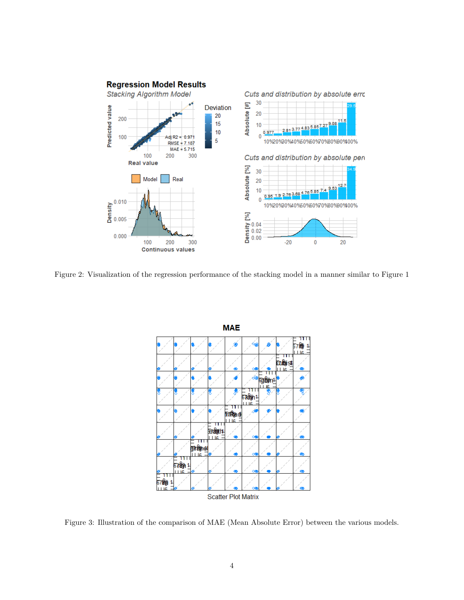

Figure 2: Visualization of the regression performance of the stacking model in a manner similar to Figure 1



Figure 3: Illustration of the comparison of ΜΑΕ (Mean Absolute Error) between the various models.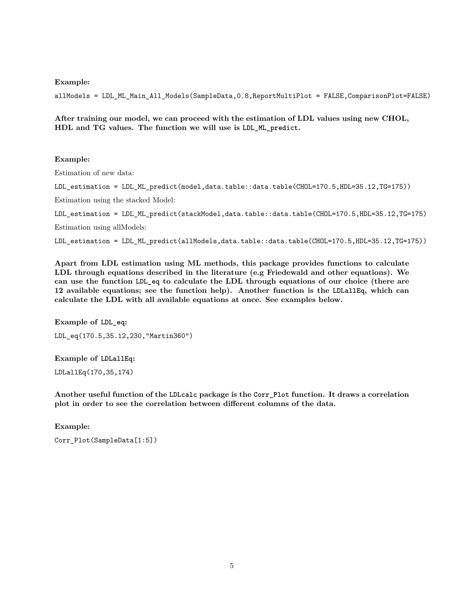**Example:**

allModels = LDL\_ML\_Main\_All\_Models(SampleData,0.8,ReportMultiPlot = FALSE,ComparisonPlot=FALSE)

**After training our model, we can proceed with the estimation of LDL values using new CHOL, HDL and TG values. The function we will use is LDL\_ML\_predict.**

#### **Example:**

Estimation of new data:

LDL\_estimation = LDL\_ML\_predict(model,data.table::data.table(CHOL=170.5,HDL=35.12,TG=175))

Estimation using the stacked Model:

LDL\_estimation = LDL\_ML\_predict(stackModel,data.table::data.table(CHOL=170.5,HDL=35.12,TG=175) Estimation using allModels:

LDL\_estimation = LDL\_ML\_predict(allModels,data.table::data.table(CHOL=170.5,HDL=35.12,TG=175))

**Apart from LDL estimation using ML methods, this package provides functions to calculate LDL through equations described in the literature (e.g Friedewald and other equations). We can use the function LDL\_eq to calculate the LDL through equations of our choice (there are 12 available equations; see the function help). Another function is the LDLallEq, which can calculate the LDL with all available equations at once. See examples below.**

**Example of LDL\_eq:** LDL\_eq(170.5,35.12,230,"Martin360")

**Example of LDLallEq:** LDLallEq(170,35,174)

**Another useful function of the LDLcalc package is the Corr\_Plot function. It draws a correlation plot in order to see the correlation between different columns of the data.**

**Example:**

Corr\_Plot(SampleData[1:5])